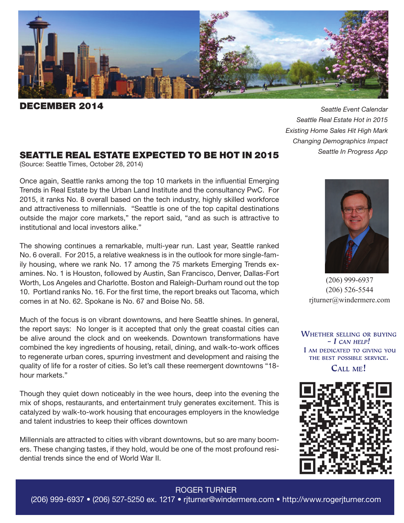

ECEMBER 2014

*Seattle Event Calendar Seattle Real Estate Hot in 2015 Existing Home Sales Hit High Mark Changing Demographics Impact Seattle In Progress App*

#### SEATTLE REAL ESTATE EXPECTED TO BE HOT IN 2015

(Source: Seattle Times, October 28, 2014)

Once again, Seattle ranks among the top 10 markets in the influential Emerging Trends in Real Estate by the Urban Land Institute and the consultancy PwC. For 2015, it ranks No. 8 overall based on the tech industry, highly skilled workforce and attractiveness to millennials. "Seattle is one of the top capital destinations outside the major core markets," the report said, "and as such is attractive to institutional and local investors alike."

The showing continues a remarkable, multi-year run. Last year, Seattle ranked No. 6 overall. For 2015, a relative weakness is in the outlook for more single-family housing, where we rank No. 17 among the 75 markets Emerging Trends examines. No. 1 is Houston, followed by Austin, San Francisco, Denver, Dallas-Fort Worth, Los Angeles and Charlotte. Boston and Raleigh-Durham round out the top 10. Portland ranks No. 16. For the first time, the report breaks out Tacoma, which comes in at No. 62. Spokane is No. 67 and Boise No. 58.

Much of the focus is on vibrant downtowns, and here Seattle shines. In general, the report says: No longer is it accepted that only the great coastal cities can be alive around the clock and on weekends. Downtown transformations have combined the key ingredients of housing, retail, dining, and walk-to-work offices to regenerate urban cores, spurring investment and development and raising the quality of life for a roster of cities. So let's call these reemergent downtowns "18 hour markets."

Though they quiet down noticeably in the wee hours, deep into the evening the mix of shops, restaurants, and entertainment truly generates excitement. This is catalyzed by walk-to-work housing that encourages employers in the knowledge and talent industries to keep their offices downtown

Millennials are attracted to cities with vibrant downtowns, but so are many boomers. These changing tastes, if they hold, would be one of the most profound residential trends since the end of World War II.



(206) 999-6937 (206) 526-5544 rjturner@windermere.com

**WHETHER SELLING OR BUYING**  $- I$  CAN HELP! I AM DEDICATED TO GIVING YOU THE BEST POSSIBLE SERVICE. **CALL ME!** 



#### ROGER TURNER

(206) 999-6937 • (206) 527-5250 ex. 1217 • rjturner@windermere.com • http://www.rogerjturner.com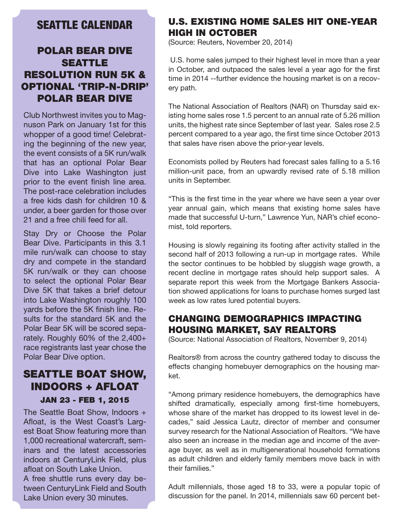# SEATTLE CALENDAR

## POLAR BEAR DIVE **SEATTLE** RESOLUTION RUN 5K & OPTIONAL 'TRIP-N-DRIP' POLAR BEAR DIVE

Club Northwest invites you to Magnuson Park on January 1st for this whopper of a good time! Celebrating the beginning of the new year, the event consists of a 5K run/walk that has an optional Polar Bear Dive into Lake Washington just prior to the event finish line area. The post-race celebration includes a free kids dash for children 10 & under, a beer garden for those over 21 and a free chili feed for all.

Stay Dry or Choose the Polar Bear Dive. Participants in this 3.1 mile run/walk can choose to stay dry and compete in the standard 5K run/walk or they can choose to select the optional Polar Bear Dive 5K that takes a brief detour into Lake Washington roughly 100 yards before the 5K finish line. Results for the standard 5K and the Polar Bear 5K will be scored separately. Roughly 60% of the 2,400+ race registrants last year chose the Polar Bear Dive option.

### SEATTLE BOAT SHOW, INDOORS + AFLOAT JAN 23 - FEB 1, 2015

The Seattle Boat Show, Indoors + Afloat, is the West Coast's Largest Boat Show featuring more than 1,000 recreational watercraft, seminars and the latest accessories indoors at CenturyLink Field, plus afloat on South Lake Union. A free shuttle runs every day between CenturyLink Field and South Lake Union every 30 minutes.

#### U.S. EXISTING HOME SALES HIT ONE-YEAR HIGH IN OCTOBER

(Source: Reuters, November 20, 2014)

 U.S. home sales jumped to their highest level in more than a year in October, and outpaced the sales level a year ago for the first time in 2014 --further evidence the housing market is on a recovery path.

The National Association of Realtors (NAR) on Thursday said existing home sales rose 1.5 percent to an annual rate of 5.26 million units, the highest rate since September of last year. Sales rose 2.5 percent compared to a year ago, the first time since October 2013 that sales have risen above the prior-year levels.

Economists polled by Reuters had forecast sales falling to a 5.16 million-unit pace, from an upwardly revised rate of 5.18 million units in September.

"This is the first time in the year where we have seen a year over year annual gain, which means that existing home sales have made that successful U-turn," Lawrence Yun, NAR's chief economist, told reporters.

Housing is slowly regaining its footing after activity stalled in the second half of 2013 following a run-up in mortgage rates. While the sector continues to be hobbled by sluggish wage growth, a recent decline in mortgage rates should help support sales. A separate report this week from the Mortgage Bankers Association showed applications for loans to purchase homes surged last week as low rates lured potential buyers.

### CHANGING DEMOGRAPHICS IMPACTING HOUSING MARKET, SAY REALTORS

(Source: National Association of Realtors, November 9, 2014)

Realtors® from across the country gathered today to discuss the effects changing homebuyer demographics on the housing market.

"Among primary residence homebuyers, the demographics have shifted dramatically, especially among first-time homebuyers, whose share of the market has dropped to its lowest level in decades," said Jessica Lautz, director of member and consumer survey research for the National Association of Realtors. "We have also seen an increase in the median age and income of the average buyer, as well as in multigenerational household formations as adult children and elderly family members move back in with their families."

Adult millennials, those aged 18 to 33, were a popular topic of discussion for the panel. In 2014, millennials saw 60 percent bet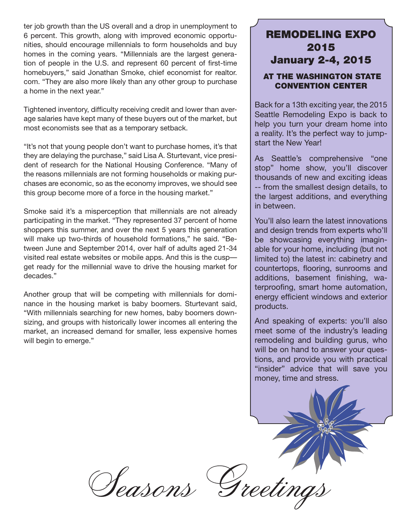ter job growth than the US overall and a drop in unemployment to 6 percent. This growth, along with improved economic opportunities, should encourage millennials to form households and buy homes in the coming years. "Millennials are the largest generation of people in the U.S. and represent 60 percent of first-time homebuyers," said Jonathan Smoke, chief economist for realtor. com. "They are also more likely than any other group to purchase a home in the next year."

Tightened inventory, difficulty receiving credit and lower than average salaries have kept many of these buyers out of the market, but most economists see that as a temporary setback.

"It's not that young people don't want to purchase homes, it's that they are delaying the purchase," said Lisa A. Sturtevant, vice president of research for the National Housing Conference. "Many of the reasons millennials are not forming households or making purchases are economic, so as the economy improves, we should see this group become more of a force in the housing market."

Smoke said it's a misperception that millennials are not already participating in the market. "They represented 37 percent of home shoppers this summer, and over the next 5 years this generation will make up two-thirds of household formations," he said. "Between June and September 2014, over half of adults aged 21-34 visited real estate websites or mobile apps. And this is the cusp get ready for the millennial wave to drive the housing market for decades."

Another group that will be competing with millennials for dominance in the housing market is baby boomers. Sturtevant said, "With millennials searching for new homes, baby boomers downsizing, and groups with historically lower incomes all entering the market, an increased demand for smaller, less expensive homes will begin to emerge."

## REMODELING EXPO 2015 January 2-4, 2015

#### AT THE WASHINGTON STATE CONVENTION CENTER

Back for a 13th exciting year, the 2015 Seattle Remodeling Expo is back to help you turn your dream home into a reality. It's the perfect way to jumpstart the New Year!

As Seattle's comprehensive "one stop" home show, you'll discover thousands of new and exciting ideas -- from the smallest design details, to the largest additions, and everything in between.

You'll also learn the latest innovations and design trends from experts who'll be showcasing everything imaginable for your home, including (but not limited to) the latest in: cabinetry and countertops, flooring, sunrooms and additions, basement finishing, waterproofing, smart home automation, energy efficient windows and exterior products.

And speaking of experts: you'll also meet some of the industry's leading remodeling and building gurus, who will be on hand to answer your questions, and provide you with practical "insider" advice that will save you money, time and stress.

Keasons Greetine